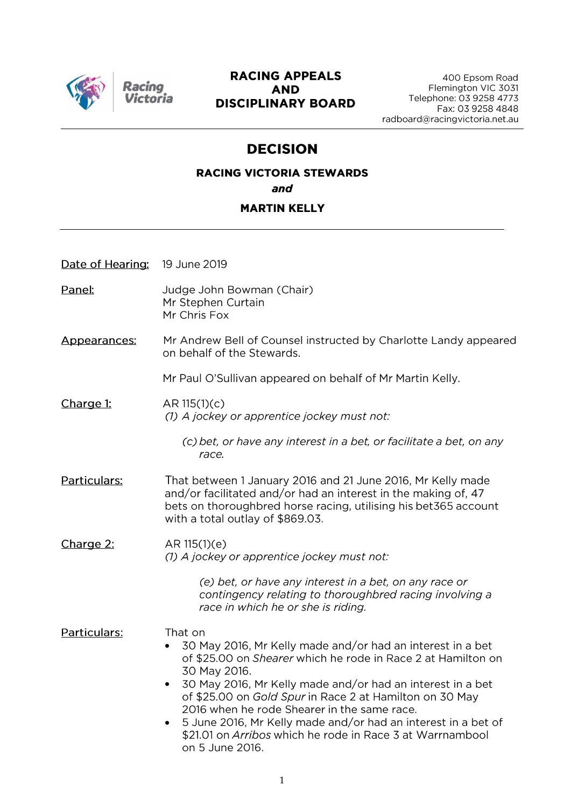

## **RACING APPEALS AND DISCIPLINARY BOARD**

# **DECISION**

# **RACING VICTORIA STEWARDS** and

#### **MARTIN KELLY**

| Date of Hearing: | 19 June 2019 |
|------------------|--------------|
|                  |              |

Racino

- Panel: Judge John Bowman (Chair) Mr Stephen Curtain Mr Chris Fox
- Mr Andrew Bell of Counsel instructed by Charlotte Landy appeared Appearances: on behalf of the Stewards.

Mr Paul O'Sullivan appeared on behalf of Mr Martin Kelly.

Charge 1: AR 115(1)(c) (1) A jockey or apprentice jockey must not:

> (c) bet, or have any interest in a bet, or facilitate a bet, on any race.

Particulars: That between 1 January 2016 and 21 June 2016, Mr Kelly made and/or facilitated and/or had an interest in the making of, 47 bets on thoroughbred horse racing, utilising his bet365 account with a total outlay of \$869.03.

Charge 2: AR 115(1)(e) (1) A jockey or apprentice jockey must not:

> (e) bet, or have any interest in a bet, on any race or contingency relating to thoroughbred racing involving a race in which he or she is riding.

Particulars: That on

- 30 May 2016. Mr Kelly made and/or had an interest in a bet of \$25.00 on Shearer which he rode in Race 2 at Hamilton on 30 May 2016.
- 30 May 2016, Mr Kelly made and/or had an interest in a bet of \$25.00 on Gold Spur in Race 2 at Hamilton on 30 May 2016 when he rode Shearer in the same race.
- 5 June 2016. Mr Kelly made and/or had an interest in a bet of \$21.01 on Arribos which he rode in Race 3 at Warrnambool on 5 June 2016.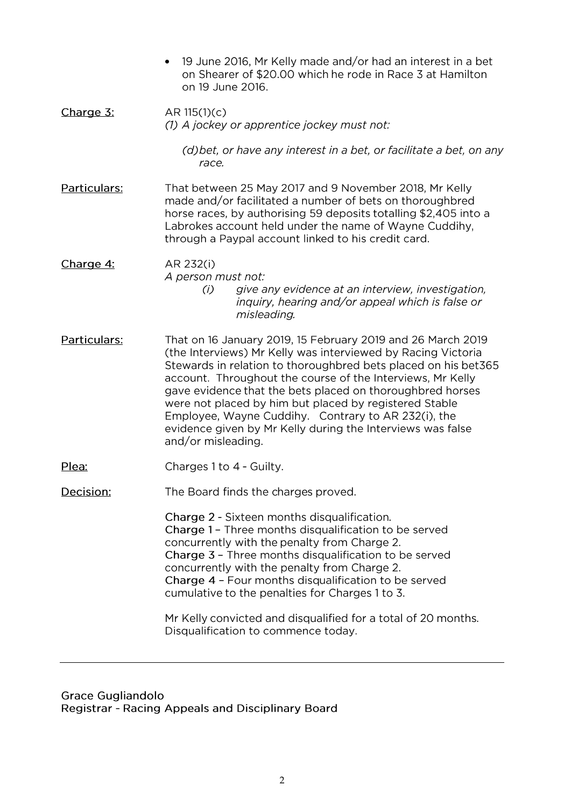19 June 2016. Mr Kelly made and/or had an interest in a bet •on Shearer of \$20.00 which he rode in Race 3 at Hamilton on 19 June 2016. Charge 3:  $AR 115(1)(c)$ (1) A jockey or apprentice jockey must not: (d) bet, or have any interest in a bet, or facilitate a bet, on any race. **Particulars:** That between 25 May 2017 and 9 November 2018, Mr Kelly made and/or facilitated a number of bets on thoroughbred horse races, by authorising 59 deposits totalling \$2,405 into a Labrokes account held under the name of Wayne Cuddihy. through a Paypal account linked to his credit card. Charge 4: AR 232(i) A person must not: give any evidence at an interview, investigation,  $(i)$ inquiry, hearing and/or appeal which is false or misleading. Particulars: That on 16 January 2019, 15 February 2019 and 26 March 2019 (the Interviews) Mr Kelly was interviewed by Racing Victoria Stewards in relation to thoroughbred bets placed on his bet365 account. Throughout the course of the Interviews, Mr Kelly gave evidence that the bets placed on thoroughbred horses were not placed by him but placed by registered Stable Employee, Wayne Cuddihy. Contrary to AR 232(i), the evidence given by Mr Kelly during the Interviews was false and/or misleading. Plea: Charges 1 to 4 - Guilty. Decision: The Board finds the charges proved. Charge 2 - Sixteen months disqualification. Charge 1 - Three months disqualification to be served concurrently with the penalty from Charge 2. Charge 3 - Three months disqualification to be served concurrently with the penalty from Charge 2. Charge 4 - Four months disqualification to be served cumulative to the penalties for Charges 1 to 3. Mr Kelly convicted and disqualified for a total of 20 months. Disqualification to commence today.

**Grace Gugliandolo** Registrar - Racing Appeals and Disciplinary Board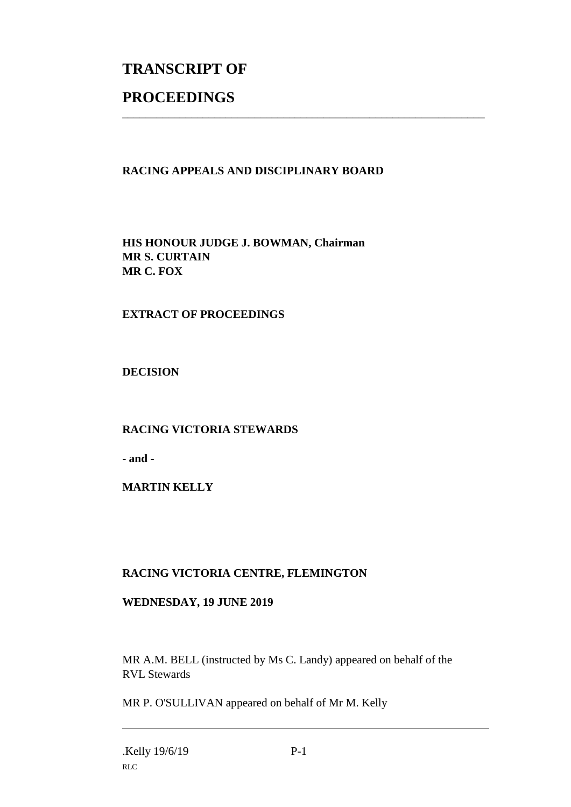# **TRANSCRIPT OF PROCEEDINGS**

## **RACING APPEALS AND DISCIPLINARY BOARD**

\_\_\_\_\_\_\_\_\_\_\_\_\_\_\_\_\_\_\_\_\_\_\_\_\_\_\_\_\_\_\_\_\_\_\_\_\_\_\_\_\_\_\_\_\_\_\_\_\_\_\_\_\_\_\_\_\_\_\_\_\_\_\_

**HIS HONOUR JUDGE J. BOWMAN, Chairman MR S. CURTAIN MR C. FOX**

### **EXTRACT OF PROCEEDINGS**

**DECISION**

#### **RACING VICTORIA STEWARDS**

**- and -**

#### **MARTIN KELLY**

#### **RACING VICTORIA CENTRE, FLEMINGTON**

#### **WEDNESDAY, 19 JUNE 2019**

MR A.M. BELL (instructed by Ms C. Landy) appeared on behalf of the RVL Stewards

MR P. O'SULLIVAN appeared on behalf of Mr M. Kelly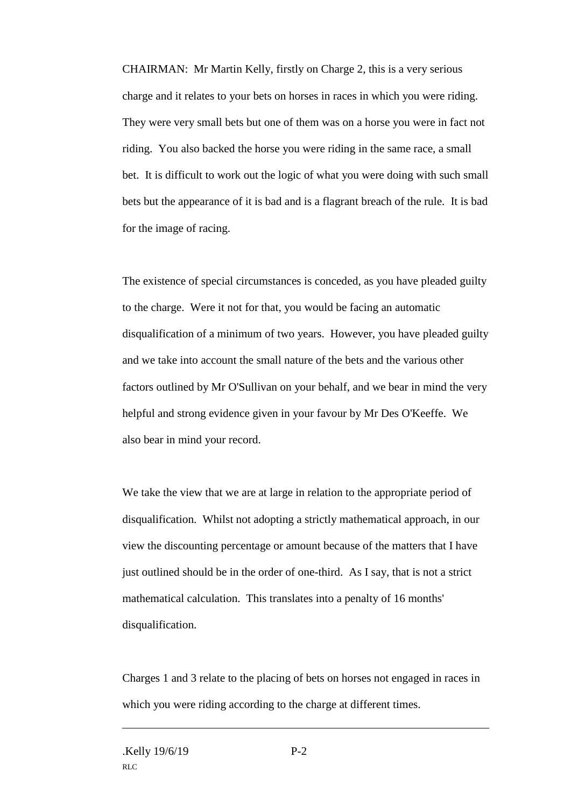CHAIRMAN: Mr Martin Kelly, firstly on Charge 2, this is a very serious charge and it relates to your bets on horses in races in which you were riding. They were very small bets but one of them was on a horse you were in fact not riding. You also backed the horse you were riding in the same race, a small bet. It is difficult to work out the logic of what you were doing with such small bets but the appearance of it is bad and is a flagrant breach of the rule. It is bad for the image of racing.

The existence of special circumstances is conceded, as you have pleaded guilty to the charge. Were it not for that, you would be facing an automatic disqualification of a minimum of two years. However, you have pleaded guilty and we take into account the small nature of the bets and the various other factors outlined by Mr O'Sullivan on your behalf, and we bear in mind the very helpful and strong evidence given in your favour by Mr Des O'Keeffe. We also bear in mind your record.

We take the view that we are at large in relation to the appropriate period of disqualification. Whilst not adopting a strictly mathematical approach, in our view the discounting percentage or amount because of the matters that I have just outlined should be in the order of one-third. As I say, that is not a strict mathematical calculation. This translates into a penalty of 16 months' disqualification.

Charges 1 and 3 relate to the placing of bets on horses not engaged in races in which you were riding according to the charge at different times.